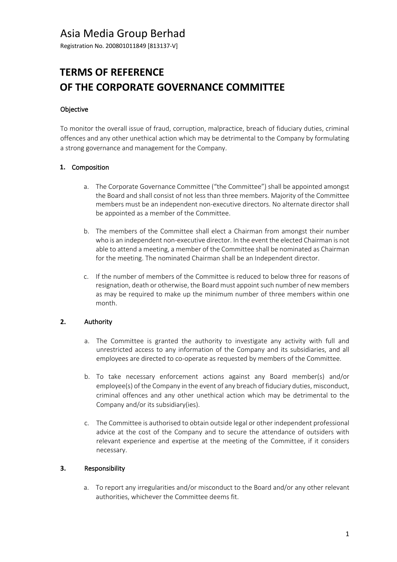# Asia Media Group Berhad

Registration No. 200801011849 [813137-V]

# **TERMS OF REFERENCE OF THE CORPORATE GOVERNANCE COMMITTEE**

#### Objective

To monitor the overall issue of fraud, corruption, malpractice, breach of fiduciary duties, criminal offences and any other unethical action which may be detrimental to the Company by formulating a strong governance and management for the Company.

#### **1.** Composition

- a. The Corporate Governance Committee ("the Committee") shall be appointed amongst the Board and shall consist of not less than three members. Majority of the Committee members must be an independent non-executive directors. No alternate director shall be appointed as a member of the Committee.
- b. The members of the Committee shall elect a Chairman from amongst their number who is an independent non-executive director. In the event the elected Chairman is not able to attend a meeting, a member of the Committee shall be nominated as Chairman for the meeting. The nominated Chairman shall be an Independent director.
- c. If the number of members of the Committee is reduced to below three for reasons of resignation, death or otherwise, the Board must appoint such number of new members as may be required to make up the minimum number of three members within one month.

### **2.** Authority

- a. The Committee is granted the authority to investigate any activity with full and unrestricted access to any information of the Company and its subsidiaries, and all employees are directed to co-operate as requested by members of the Committee.
- b. To take necessary enforcement actions against any Board member(s) and/or employee(s) of the Company in the event of any breach of fiduciary duties, misconduct, criminal offences and any other unethical action which may be detrimental to the Company and/or its subsidiary(ies).
- c. The Committee is authorised to obtain outside legal or other independent professional advice at the cost of the Company and to secure the attendance of outsiders with relevant experience and expertise at the meeting of the Committee, if it considers necessary.

#### **3.** Responsibility

a. To report any irregularities and/or misconduct to the Board and/or any other relevant authorities, whichever the Committee deems fit.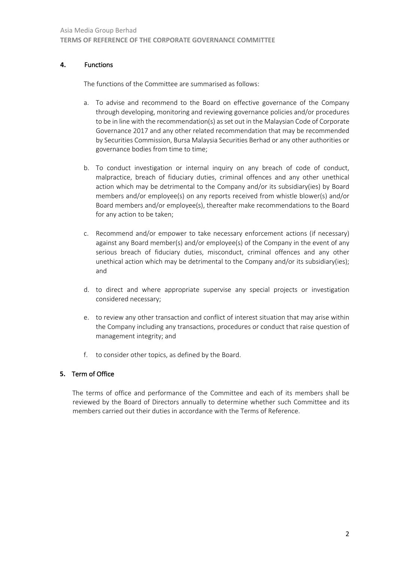#### **4.** Functions

The functions of the Committee are summarised as follows:

- a. To advise and recommend to the Board on effective governance of the Company through developing, monitoring and reviewing governance policies and/or procedures to be in line with the recommendation(s) as set out in the Malaysian Code of Corporate Governance 2017 and any other related recommendation that may be recommended by Securities Commission, Bursa Malaysia Securities Berhad or any other authorities or governance bodies from time to time;
- b. To conduct investigation or internal inquiry on any breach of code of conduct, malpractice, breach of fiduciary duties, criminal offences and any other unethical action which may be detrimental to the Company and/or its subsidiary(ies) by Board members and/or employee(s) on any reports received from whistle blower(s) and/or Board members and/or employee(s), thereafter make recommendations to the Board for any action to be taken;
- c. Recommend and/or empower to take necessary enforcement actions (if necessary) against any Board member(s) and/or employee(s) of the Company in the event of any serious breach of fiduciary duties, misconduct, criminal offences and any other unethical action which may be detrimental to the Company and/or its subsidiary(ies); and
- d. to direct and where appropriate supervise any special projects or investigation considered necessary;
- e. to review any other transaction and conflict of interest situation that may arise within the Company including any transactions, procedures or conduct that raise question of management integrity; and
- f. to consider other topics, as defined by the Board.

#### **5.** Term of Office

The terms of office and performance of the Committee and each of its members shall be reviewed by the Board of Directors annually to determine whether such Committee and its members carried out their duties in accordance with the Terms of Reference.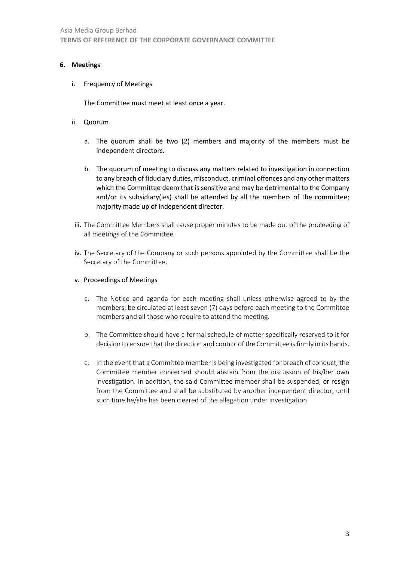#### **6. Meetings**

i. Frequency of Meetings

The Committee must meet at least once a year.

- ii. Quorum
	- a. The quorum shall be two (2) members and majority of the members must be independent directors.
	- b. The quorum of meeting to discuss any matters related to investigation in connection to any breach of fiduciary duties, misconduct, criminal offences and any other matters which the Committee deem that is sensitive and may be detrimental to the Company and/or its subsidiary(ies) shall be attended by all the members of the committee; majority made up of independent director.
- iii. The Committee Members shall cause proper minutes to be made out of the proceeding of all meetings of the Committee.
- iv. The Secretary of the Company or such persons appointed by the Committee shall be the Secretary of the Committee.
- v. Proceedings of Meetings
	- a. The Notice and agenda for each meeting shall unless otherwise agreed to by the members, be circulated at least seven (7) days before each meeting to the Committee members and all those who require to attend the meeting.
	- b. The Committee should have a formal schedule of matter specifically reserved to it for decision to ensure that the direction and control of the Committee is firmly in its hands.
	- c. In the event that a Committee member is being investigated for breach of conduct, the Committee member concerned should abstain from the discussion of his/her own investigation. In addition, the said Committee member shall be suspended, or resign from the Committee and shall be substituted by another independent director, until such time he/she has been cleared of the allegation under investigation.